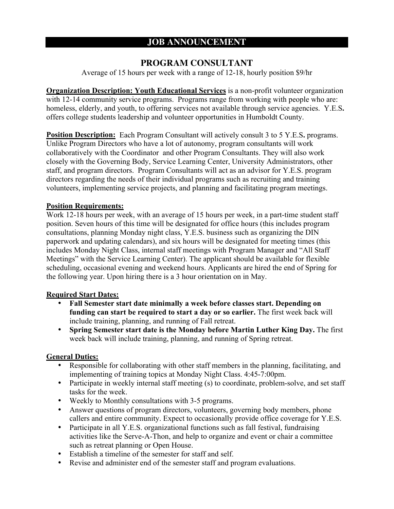# **JOB ANNOUNCEMENT**

# **PROGRAM CONSULTANT**

Average of 15 hours per week with a range of 12-18, hourly position \$9/hr

**Organization Description: Youth Educational Services** is a non-profit volunteer organization with 12-14 community service programs. Programs range from working with people who are: homeless, elderly, and youth, to offering services not available through service agencies. Y.E.S**.** offers college students leadership and volunteer opportunities in Humboldt County.

**Position Description:** Each Program Consultant will actively consult 3 to 5 Y.E.S. programs. Unlike Program Directors who have a lot of autonomy, program consultants will work collaboratively with the Coordinator and other Program Consultants. They will also work closely with the Governing Body, Service Learning Center, University Administrators, other staff, and program directors. Program Consultants will act as an advisor for Y.E.S. program directors regarding the needs of their individual programs such as recruiting and training volunteers, implementing service projects, and planning and facilitating program meetings.

### **Position Requirements:**

Work 12-18 hours per week, with an average of 15 hours per week, in a part-time student staff position. Seven hours of this time will be designated for office hours (this includes program consultations, planning Monday night class, Y.E.S. business such as organizing the DIN paperwork and updating calendars), and six hours will be designated for meeting times (this includes Monday Night Class, internal staff meetings with Program Manager and "All Staff Meetings" with the Service Learning Center). The applicant should be available for flexible scheduling, occasional evening and weekend hours. Applicants are hired the end of Spring for the following year. Upon hiring there is a 3 hour orientation on in May.

## **Required Start Dates:**

- **Fall Semester start date minimally a week before classes start. Depending on funding can start be required to start a day or so earlier.** The first week back will include training, planning, and running of Fall retreat.
- **Spring Semester start date is the Monday before Martin Luther King Day.** The first week back will include training, planning, and running of Spring retreat.

## **General Duties:**

- Responsible for collaborating with other staff members in the planning, facilitating, and implementing of training topics at Monday Night Class. 4:45-7:00pm.
- Participate in weekly internal staff meeting (s) to coordinate, problem-solve, and set staff tasks for the week.
- Weekly to Monthly consultations with 3-5 programs.
- Answer questions of program directors, volunteers, governing body members, phone callers and entire community. Expect to occasionally provide office coverage for Y.E.S.
- Participate in all Y.E.S. organizational functions such as fall festival, fundraising activities like the Serve-A-Thon, and help to organize and event or chair a committee such as retreat planning or Open House.
- Establish a timeline of the semester for staff and self.
- Revise and administer end of the semester staff and program evaluations.